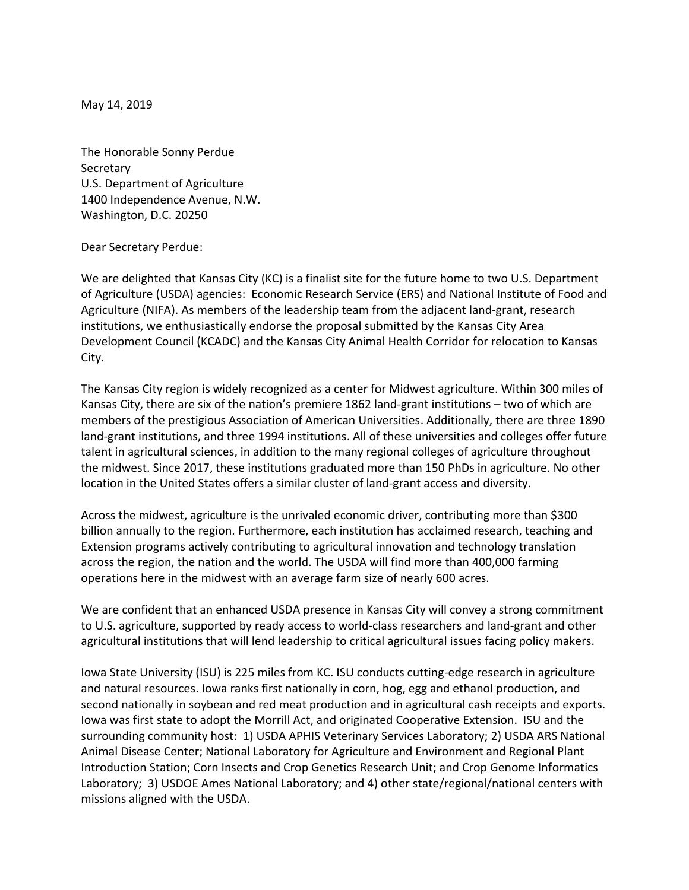May 14, 2019

The Honorable Sonny Perdue **Secretary** U.S. Department of Agriculture 1400 Independence Avenue, N.W. Washington, D.C. 20250

Dear Secretary Perdue:

We are delighted that Kansas City (KC) is a finalist site for the future home to two U.S. Department of Agriculture (USDA) agencies: Economic Research Service (ERS) and National Institute of Food and Agriculture (NIFA). As members of the leadership team from the adjacent land-grant, research institutions, we enthusiastically endorse the proposal submitted by the Kansas City Area Development Council (KCADC) and the Kansas City Animal Health Corridor for relocation to Kansas City.

The Kansas City region is widely recognized as a center for Midwest agriculture. Within 300 miles of Kansas City, there are six of the nation's premiere 1862 land-grant institutions – two of which are members of the prestigious Association of American Universities. Additionally, there are three 1890 land-grant institutions, and three 1994 institutions. All of these universities and colleges offer future talent in agricultural sciences, in addition to the many regional colleges of agriculture throughout the midwest. Since 2017, these institutions graduated more than 150 PhDs in agriculture. No other location in the United States offers a similar cluster of land-grant access and diversity.

Across the midwest, agriculture is the unrivaled economic driver, contributing more than \$300 billion annually to the region. Furthermore, each institution has acclaimed research, teaching and Extension programs actively contributing to agricultural innovation and technology translation across the region, the nation and the world. The USDA will find more than 400,000 farming operations here in the midwest with an average farm size of nearly 600 acres.

We are confident that an enhanced USDA presence in Kansas City will convey a strong commitment to U.S. agriculture, supported by ready access to world-class researchers and land-grant and other agricultural institutions that will lend leadership to critical agricultural issues facing policy makers.

Iowa State University (ISU) is 225 miles from KC. ISU conducts cutting-edge research in agriculture and natural resources. Iowa ranks first nationally in corn, hog, egg and ethanol production, and second nationally in soybean and red meat production and in agricultural cash receipts and exports. Iowa was first state to adopt the Morrill Act, and originated Cooperative Extension. ISU and the surrounding community host: 1) USDA APHIS Veterinary Services Laboratory; 2) USDA ARS National Animal Disease Center; National Laboratory for Agriculture and Environment and Regional Plant Introduction Station; Corn Insects and Crop Genetics Research Unit; and Crop Genome Informatics Laboratory; 3) USDOE Ames National Laboratory; and 4) other state/regional/national centers with missions aligned with the USDA.